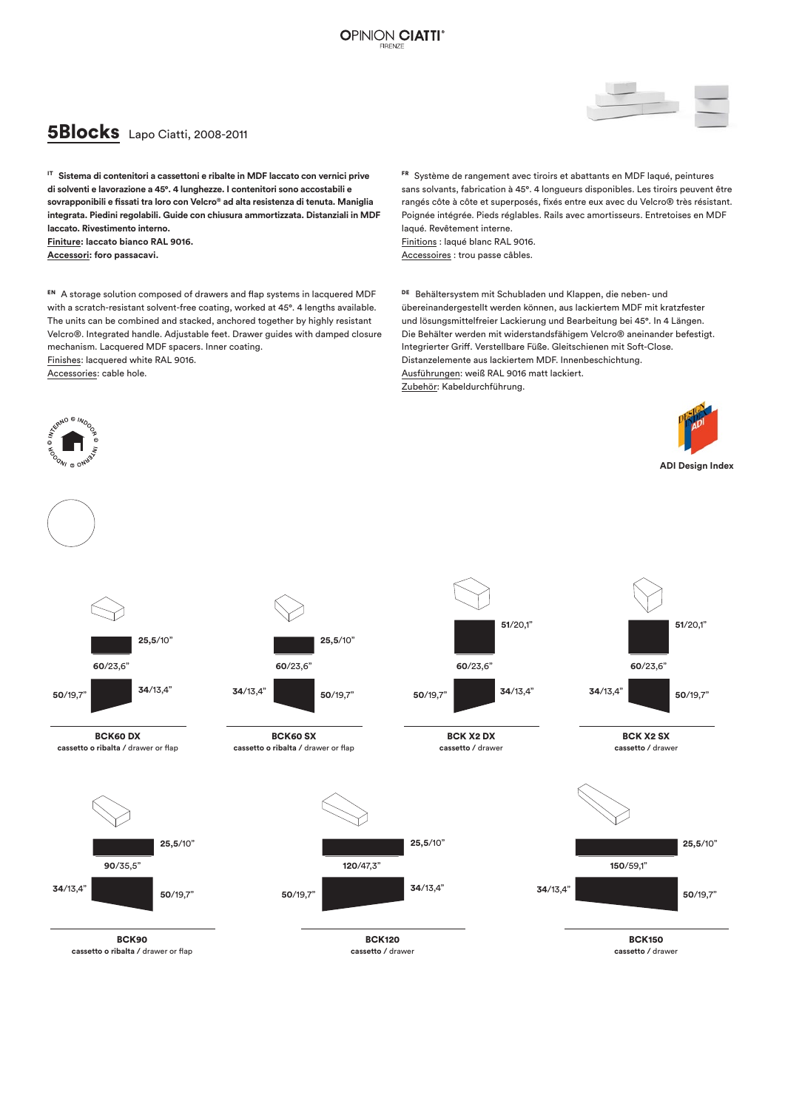## **5Blocks** Lapo Ciatti, 2008-2011

IT **Sistema di contenitori a cassettoni e ribalte in MDF laccato con vernici prive di solventi e lavorazione a 45°. 4 lunghezze. I contenitori sono accostabili e sovrapponibili e fissati tra loro con Velcro® ad alta resistenza di tenuta. Maniglia integrata. Piedini regolabili. Guide con chiusura ammortizzata. Distanziali in MDF laccato. Rivestimento interno. Finiture: laccato bianco RAL 9016. Accessori: foro passacavi.**

EN A storage solution composed of drawers and flap systems in lacquered MDF with a scratch-resistant solvent-free coating, worked at 45°. 4 lengths available. The units can be combined and stacked, anchored together by highly resistant Velcro®. Integrated handle. Adjustable feet. Drawer guides with damped closure mechanism. Lacquered MDF spacers. Inner coating. Finishes: lacquered white RAL 9016.

Accessories: cable hole.

 $.001$ 

FR Système de rangement avec tiroirs et abattants en MDF laqué, peintures sans solvants, fabrication à 45°. 4 longueurs disponibles. Les tiroirs peuvent être rangés côte à côte et superposés, fixés entre eux avec du Velcro® très résistant. Poignée intégrée. Pieds réglables. Rails avec amortisseurs. Entretoises en MDF laqué. Revêtement interne. Finitions : laqué blanc RAL 9016. Accessoires : trou passe câbles.

DEBehältersystem mit Schubladen und Klappen, die neben- und übereinandergestellt werden können, aus lackiertem MDF mit kratzfester und lösungsmittelfreier Lackierung und Bearbeitung bei 45°. In 4 Längen. Die Behälter werden mit widerstandsfähigem Velcro® aneinander befestigt. Integrierter Griff. Verstellbare Füße. Gleitschienen mit Soft-Close. Distanzelemente aus lackiertem MDF. Innenbeschichtung. Ausführungen: weiß RAL 9016 matt lackiert. Zubehör: Kabeldurchführung.





**<sup>34</sup>**/13,4" **<sup>50</sup>**/19,7"

BCK120 **cassetto /** drawer



BCK X2 DX **cassetto /** drawer



**ADI Design Index**





BCK90 **cassetto o ribalta /** drawer or flap

**<sup>34</sup>**/13,4" **<sup>50</sup>**/19,7"